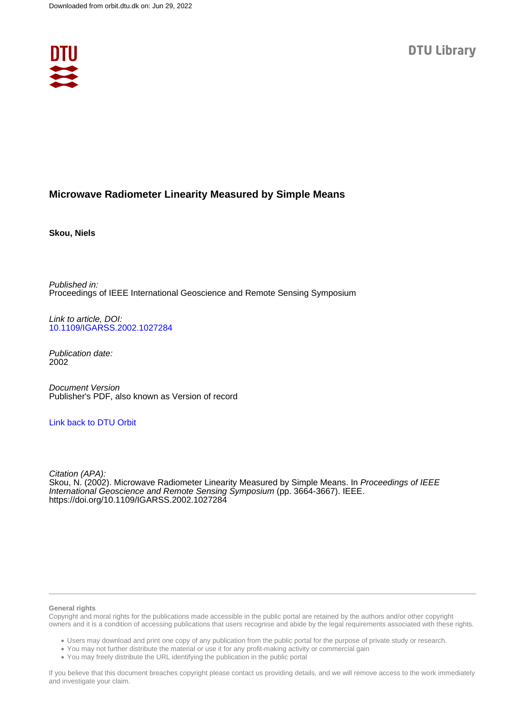

# **Microwave Radiometer Linearity Measured by Simple Means**

**Skou, Niels**

Published in: Proceedings of IEEE International Geoscience and Remote Sensing Symposium

Link to article, DOI: [10.1109/IGARSS.2002.1027284](https://doi.org/10.1109/IGARSS.2002.1027284)

Publication date: 2002

Document Version Publisher's PDF, also known as Version of record

## [Link back to DTU Orbit](https://orbit.dtu.dk/en/publications/c39d04ba-f535-4fe1-9911-ae9070fa7e1c)

Citation (APA): Skou, N. (2002). Microwave Radiometer Linearity Measured by Simple Means. In Proceedings of IEEE International Geoscience and Remote Sensing Symposium (pp. 3664-3667). IEEE. <https://doi.org/10.1109/IGARSS.2002.1027284>

#### **General rights**

Copyright and moral rights for the publications made accessible in the public portal are retained by the authors and/or other copyright owners and it is a condition of accessing publications that users recognise and abide by the legal requirements associated with these rights.

Users may download and print one copy of any publication from the public portal for the purpose of private study or research.

- You may not further distribute the material or use it for any profit-making activity or commercial gain
- You may freely distribute the URL identifying the publication in the public portal

If you believe that this document breaches copyright please contact us providing details, and we will remove access to the work immediately and investigate your claim.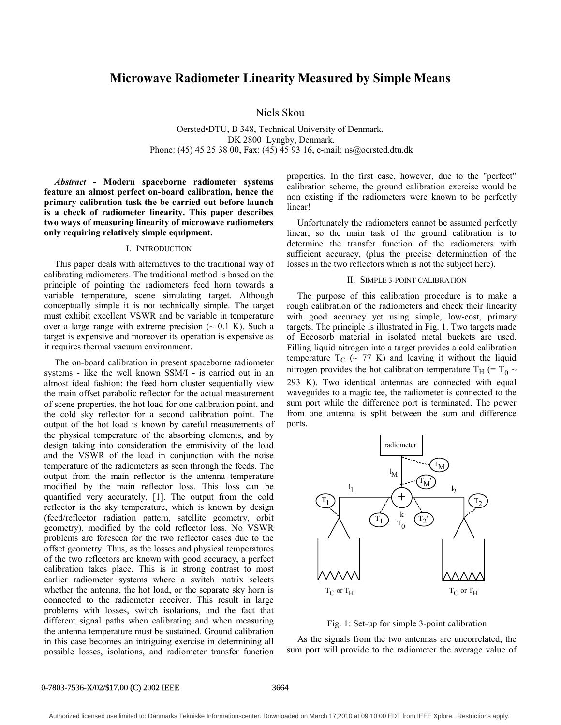# **Microwave Radiometer Linearity Measured by Simple Means**

Niels Skou

Oersted•DTU, B 348, Technical University of Denmark. DK 2800 Lyngby, Denmark. Phone: (45) 45 25 38 00, Fax: (45) 45 93 16, e-mail: ns@oersted.dtu.dk

*Abstract* **- Modern spaceborne radiometer systems feature an almost perfect on-board calibration, hence the primary calibration task the be carried out before launch is a check of radiometer linearity. This paper describes two ways of measuring linearity of microwave radiometers only requiring relatively simple equipment.** 

### I. INTRODUCTION

This paper deals with alternatives to the traditional way of calibrating radiometers. The traditional method is based on the principle of pointing the radiometers feed horn towards a variable temperature, scene simulating target. Although conceptually simple it is not technically simple. The target must exhibit excellent VSWR and be variable in temperature over a large range with extreme precision  $(\sim 0.1 \text{ K})$ . Such a target is expensive and moreover its operation is expensive as it requires thermal vacuum environment.

The on-board calibration in present spaceborne radiometer systems - like the well known SSM/I - is carried out in an almost ideal fashion: the feed horn cluster sequentially view the main offset parabolic reflector for the actual measurement of scene properties, the hot load for one calibration point, and the cold sky reflector for a second calibration point. The output of the hot load is known by careful measurements of the physical temperature of the absorbing elements, and by design taking into consideration the emmisivity of the load and the VSWR of the load in conjunction with the noise temperature of the radiometers as seen through the feeds. The output from the main reflector is the antenna temperature modified by the main reflector loss. This loss can be quantified very accurately, [1]. The output from the cold reflector is the sky temperature, which is known by design (feed/reflector radiation pattern, satellite geometry, orbit geometry), modified by the cold reflector loss. No VSWR problems are foreseen for the two reflector cases due to the offset geometry. Thus, as the losses and physical temperatures of the two reflectors are known with good accuracy, a perfect calibration takes place. This is in strong contrast to most earlier radiometer systems where a switch matrix selects whether the antenna, the hot load, or the separate sky horn is connected to the radiometer receiver. This result in large problems with losses, switch isolations, and the fact that different signal paths when calibrating and when measuring the antenna temperature must be sustained. Ground calibration in this case becomes an intriguing exercise in determining all possible losses, isolations, and radiometer transfer function properties. In the first case, however, due to the "perfect" calibration scheme, the ground calibration exercise would be non existing if the radiometers were known to be perfectly linear!

Unfortunately the radiometers cannot be assumed perfectly linear, so the main task of the ground calibration is to determine the transfer function of the radiometers with sufficient accuracy, (plus the precise determination of the losses in the two reflectors which is not the subject here).

#### II. SIMPLE 3-POINT CALIBRATION

The purpose of this calibration procedure is to make a rough calibration of the radiometers and check their linearity with good accuracy yet using simple, low-cost, primary targets. The principle is illustrated in Fig. 1. Two targets made of Eccosorb material in isolated metal buckets are used. Filling liquid nitrogen into a target provides a cold calibration temperature  $T_C$  (~ 77 K) and leaving it without the liquid nitrogen provides the hot calibration temperature T<sub>H</sub> (= T<sub>0</sub>  $\sim$ 293 K). Two identical antennas are connected with equal waveguides to a magic tee, the radiometer is connected to the sum port while the difference port is terminated. The power from one antenna is split between the sum and difference ports.



Fig. 1: Set-up for simple 3-point calibration

As the signals from the two antennas are uncorrelated, the sum port will provide to the radiometer the average value of

#### 0-7803-7536-X/02/\$17.00 (C) 2002 IEEE 3664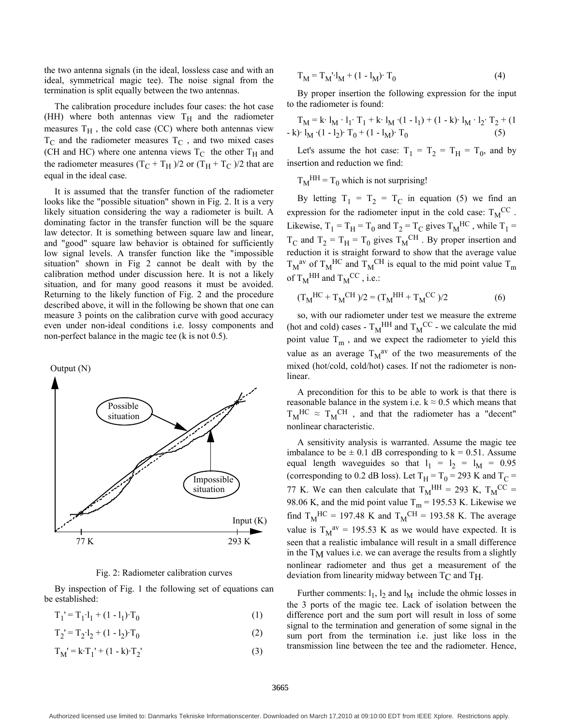the two antenna signals (in the ideal, lossless case and with an ideal, symmetrical magic tee). The noise signal from the termination is split equally between the two antennas.

The calibration procedure includes four cases: the hot case (HH) where both antennas view  $T_H$  and the radiometer measures  $T_H$ , the cold case (CC) where both antennas view  $T_{\rm C}$  and the radiometer measures  $T_{\rm C}$ , and two mixed cases (CH and HC) where one antenna views  $T_C$  the other  $T_H$  and the radiometer measures  $(T_C + T_H)/2$  or  $(T_H + T_C)/2$  that are equal in the ideal case.

It is assumed that the transfer function of the radiometer looks like the "possible situation" shown in Fig. 2. It is a very likely situation considering the way a radiometer is built. A dominating factor in the transfer function will be the square law detector. It is something between square law and linear, and "good" square law behavior is obtained for sufficiently low signal levels. A transfer function like the "impossible situation" shown in Fig 2 cannot be dealt with by the calibration method under discussion here. It is not a likely situation, and for many good reasons it must be avoided. Returning to the likely function of Fig. 2 and the procedure described above, it will in the following be shown that one can measure 3 points on the calibration curve with good accuracy even under non-ideal conditions i.e. lossy components and non-perfect balance in the magic tee (k is not 0.5).



Fig. 2: Radiometer calibration curves

By inspection of Fig. 1 the following set of equations can be established:

$$
T_1' = T_1 \cdot l_1 + (1 - l_1) \cdot T_0 \tag{1}
$$

$$
T_2' = T_2 \cdot l_2 + (1 - l_2) \cdot T_0 \tag{2}
$$

$$
T_M' = k \cdot T_1' + (1 - k) \cdot T_2'
$$
 (3)

$$
T_M = T_M^{-1}I_M + (1 - I_M)^T T_0
$$
 (4)

By proper insertion the following expression for the input to the radiometer is found:

$$
T_{M} = k \cdot l_{M} \cdot l_{1} \cdot T_{1} + k \cdot l_{M} \cdot (1 - l_{1}) + (1 - k) \cdot l_{M} \cdot l_{2} \cdot T_{2} + (1 - k) \cdot l_{M} \cdot (1 - l_{2}) \cdot T_{0} + (1 - l_{M}) \cdot T_{0}
$$
\n(5)

Let's assume the hot case:  $T_1 = T_2 = T_H = T_0$ , and by insertion and reduction we find:

 $T_M$ <sup>HH</sup> =  $T_0$  which is not surprising!

By letting  $T_1 = T_2 = T_C$  in equation (5) we find an expression for the radiometer input in the cold case:  $T_M^{\,CC}$ . Likewise,  $T_1 = T_H = T_0$  and  $T_2 = T_C$  gives  $T_M$ <sup>HC</sup>, while  $T_1 = T_H$  $T_C$  and  $T_2 = T_H = T_0$  gives  $T_M$ <sup>CH</sup>. By proper insertion and reduction it is straight forward to show that the average value  $T_M^{av}$  of  $T_M^{HC}$  and  $T_M^{CH}$  is equal to the mid point value  $T_m$ of  $T_M^{\text{HH}}$  and  $T_M^{\text{CC}}$ , i.e.:

$$
(T_M^{\text{HC}} + T_M^{\text{CH}})/2 = (T_M^{\text{HH}} + T_M^{\text{CC}})/2 \tag{6}
$$

so, with our radiometer under test we measure the extreme (hot and cold) cases -  $T_M^{\text{HH}}$  and  $T_M^{\text{CC}}$  - we calculate the mid point value  $T_m$ , and we expect the radiometer to yield this value as an average  $T_M^{av}$  of the two measurements of the mixed (hot/cold, cold/hot) cases. If not the radiometer is nonlinear.

A precondition for this to be able to work is that there is reasonable balance in the system i.e.  $k \approx 0.5$  which means that  $T_M$ <sup>HC</sup>  $\approx$   $T_M$ <sup>CH</sup>, and that the radiometer has a "decent" nonlinear characteristic.

A sensitivity analysis is warranted. Assume the magic tee imbalance to be  $\pm$  0.1 dB corresponding to k = 0.51. Assume equal length waveguides so that  $l_1 = l_2 = l_M = 0.95$ (corresponding to 0.2 dB loss). Let  $T_H = T_0 = 293$  K and  $T_C =$ 77 K. We can then calculate that  $T_M^{\text{HH}} = 293 \text{ K}$ ,  $T_M^{\text{CC}} =$ 98.06 K, and the mid point value  $T_m$  = 195.53 K. Likewise we find  $T_M$ <sup>HC</sup> = 197.48 K and  $T_M$ <sup>CH</sup> = 193.58 K. The average value is  $T_M^{av} = 195.53$  K as we would have expected. It is seen that a realistic imbalance will result in a small difference in the  $T_M$  values i.e. we can average the results from a slightly nonlinear radiometer and thus get a measurement of the deviation from linearity midway between  $T_{\rm C}$  and  $T_{\rm H}$ .

Further comments:  $l_1$ ,  $l_2$  and  $l_M$  include the ohmic losses in the 3 ports of the magic tee. Lack of isolation between the difference port and the sum port will result in loss of some signal to the termination and generation of some signal in the sum port from the termination i.e. just like loss in the transmission line between the tee and the radiometer. Hence,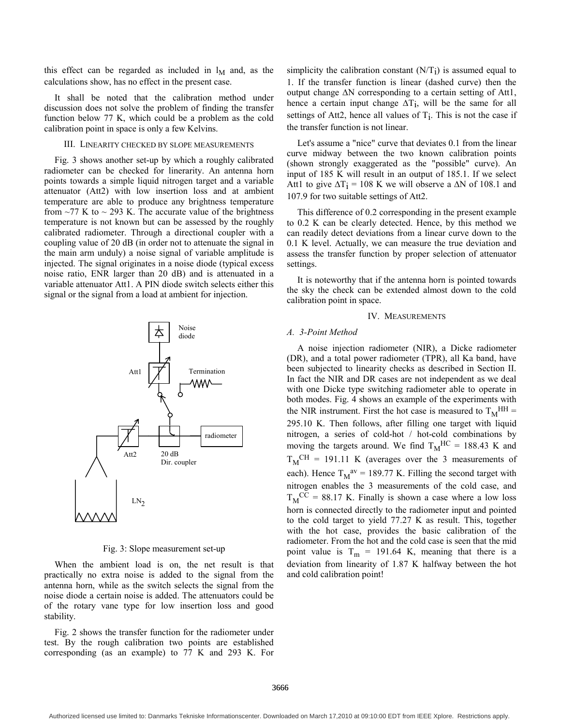this effect can be regarded as included in  $l_M$  and, as the calculations show, has no effect in the present case.

It shall be noted that the calibration method under discussion does not solve the problem of finding the transfer function below 77 K, which could be a problem as the cold calibration point in space is only a few Kelvins.

### III. LINEARITY CHECKED BY SLOPE MEASUREMENTS

Fig. 3 shows another set-up by which a roughly calibrated radiometer can be checked for linerarity. An antenna horn points towards a simple liquid nitrogen target and a variable attenuator (Att2) with low insertion loss and at ambient temperature are able to produce any brightness temperature from  $\sim$ 77 K to  $\sim$  293 K. The accurate value of the brightness temperature is not known but can be assessed by the roughly calibrated radiometer. Through a directional coupler with a coupling value of 20 dB (in order not to attenuate the signal in the main arm unduly) a noise signal of variable amplitude is injected. The signal originates in a noise diode (typical excess noise ratio, ENR larger than 20 dB) and is attenuated in a variable attenuator Att1. A PIN diode switch selects either this signal or the signal from a load at ambient for injection.



Fig. 3: Slope measurement set-up

When the ambient load is on, the net result is that practically no extra noise is added to the signal from the antenna horn, while as the switch selects the signal from the noise diode a certain noise is added. The attenuators could be of the rotary vane type for low insertion loss and good stability.

Fig. 2 shows the transfer function for the radiometer under test. By the rough calibration two points are established corresponding (as an example) to 77 K and 293 K. For simplicity the calibration constant  $(N/T_i)$  is assumed equal to 1. If the transfer function is linear (dashed curve) then the output change ∆N corresponding to a certain setting of Att1, hence a certain input change  $\Delta T_i$ , will be the same for all settings of Att2, hence all values of  $T_i$ . This is not the case if the transfer function is not linear.

Let's assume a "nice" curve that deviates 0.1 from the linear curve midway between the two known calibration points (shown strongly exaggerated as the "possible" curve). An input of 185 K will result in an output of 185.1. If we select Att1 to give  $\Delta T_i = 108$  K we will observe a  $\Delta N$  of 108.1 and 107.9 for two suitable settings of Att2.

This difference of 0.2 corresponding in the present example to 0.2 K can be clearly detected. Hence, by this method we can readily detect deviations from a linear curve down to the 0.1 K level. Actually, we can measure the true deviation and assess the transfer function by proper selection of attenuator settings.

It is noteworthy that if the antenna horn is pointed towards the sky the check can be extended almost down to the cold calibration point in space.

### IV. MEASUREMENTS

## *A. 3-Point Method*

A noise injection radiometer (NIR), a Dicke radiometer (DR), and a total power radiometer (TPR), all Ka band, have been subjected to linearity checks as described in Section II. In fact the NIR and DR cases are not independent as we deal with one Dicke type switching radiometer able to operate in both modes. Fig. 4 shows an example of the experiments with the NIR instrument. First the hot case is measured to  $T_M^{\text{HH}} =$ 295.10 K. Then follows, after filling one target with liquid nitrogen, a series of cold-hot / hot-cold combinations by moving the targets around. We find  $T_M$ <sup>HC</sup> = 188.43 K and  $T_M^{\text{CH}} = 191.11 \text{ K}$  (averages over the 3 measurements of each). Hence  $T_M^{av} = 189.77$  K. Filling the second target with nitrogen enables the 3 measurements of the cold case, and  $T_M^{\,CC} = 88.17$  K. Finally is shown a case where a low loss horn is connected directly to the radiometer input and pointed to the cold target to yield 77.27 K as result. This, together with the hot case, provides the basic calibration of the radiometer. From the hot and the cold case is seen that the mid point value is  $T_m = 191.64$  K, meaning that there is a deviation from linearity of 1.87 K halfway between the hot and cold calibration point!